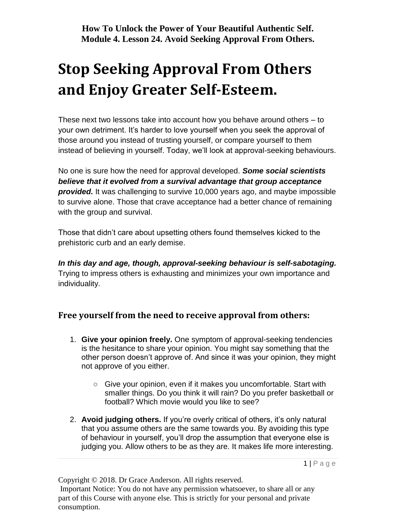# **Stop Seeking Approval From Others and Enjoy Greater Self-Esteem.**

These next two lessons take into account how you behave around others – to your own detriment. It's harder to love yourself when you seek the approval of those around you instead of trusting yourself, or compare yourself to them instead of believing in yourself. Today, we'll look at approval-seeking behaviours.

No one is sure how the need for approval developed. *Some social scientists believe that it evolved from a survival advantage that group acceptance provided.* It was challenging to survive 10,000 years ago, and maybe impossible to survive alone. Those that crave acceptance had a better chance of remaining with the group and survival.

Those that didn't care about upsetting others found themselves kicked to the prehistoric curb and an early demise.

*In this day and age, though, approval-seeking behaviour is self-sabotaging.* Trying to impress others is exhausting and minimizes your own importance and individuality.

## **Free yourself from the need to receive approval from others:**

- 1. **Give your opinion freely.** One symptom of approval-seeking tendencies is the hesitance to share your opinion. You might say something that the other person doesn't approve of. And since it was your opinion, they might not approve of you either.
	- Give your opinion, even if it makes you uncomfortable. Start with smaller things. Do you think it will rain? Do you prefer basketball or football? Which movie would you like to see?
- 2. **Avoid judging others.** If you're overly critical of others, it's only natural that you assume others are the same towards you. By avoiding this type of behaviour in yourself, you'll drop the assumption that everyone else is judging you. Allow others to be as they are. It makes life more interesting.

Copyright © 2018. Dr Grace Anderson. All rights reserved.

Important Notice: You do not have any permission whatsoever, to share all or any part of this Course with anyone else. This is strictly for your personal and private consumption.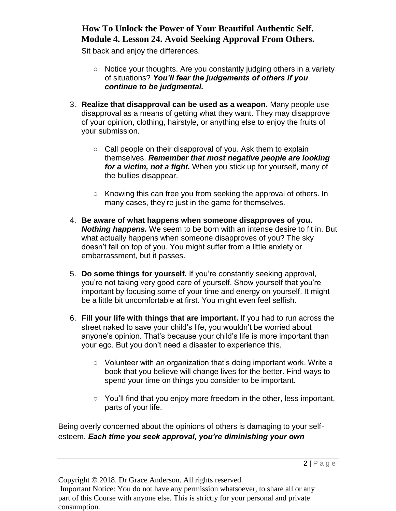## **How To Unlock the Power of Your Beautiful Authentic Self. Module 4. Lesson 24. Avoid Seeking Approval From Others.**

Sit back and enjoy the differences.

- Notice your thoughts. Are you constantly judging others in a variety of situations? *You'll fear the judgements of others if you continue to be judgmental.*
- 3. **Realize that disapproval can be used as a weapon.** Many people use disapproval as a means of getting what they want. They may disapprove of your opinion, clothing, hairstyle, or anything else to enjoy the fruits of your submission.
	- Call people on their disapproval of you. Ask them to explain themselves. *Remember that most negative people are looking for a victim, not a fight.* When you stick up for yourself, many of the bullies disappear.
	- Knowing this can free you from seeking the approval of others. In many cases, they're just in the game for themselves.
- 4. **Be aware of what happens when someone disapproves of you.** *Nothing happens.* We seem to be born with an intense desire to fit in. But what actually happens when someone disapproves of you? The sky doesn't fall on top of you. You might suffer from a little anxiety or embarrassment, but it passes.
- 5. **Do some things for yourself.** If you're constantly seeking approval, you're not taking very good care of yourself. Show yourself that you're important by focusing some of your time and energy on yourself. It might be a little bit uncomfortable at first. You might even feel selfish.
- 6. **Fill your life with things that are important.** If you had to run across the street naked to save your child's life, you wouldn't be worried about anyone's opinion. That's because your child's life is more important than your ego. But you don't need a disaster to experience this.
	- Volunteer with an organization that's doing important work. Write a book that you believe will change lives for the better. Find ways to spend your time on things you consider to be important.
	- You'll find that you enjoy more freedom in the other, less important, parts of your life.

Being overly concerned about the opinions of others is damaging to your selfesteem. *Each time you seek approval, you're diminishing your own* 

Copyright © 2018. Dr Grace Anderson. All rights reserved.

Important Notice: You do not have any permission whatsoever, to share all or any part of this Course with anyone else. This is strictly for your personal and private consumption.